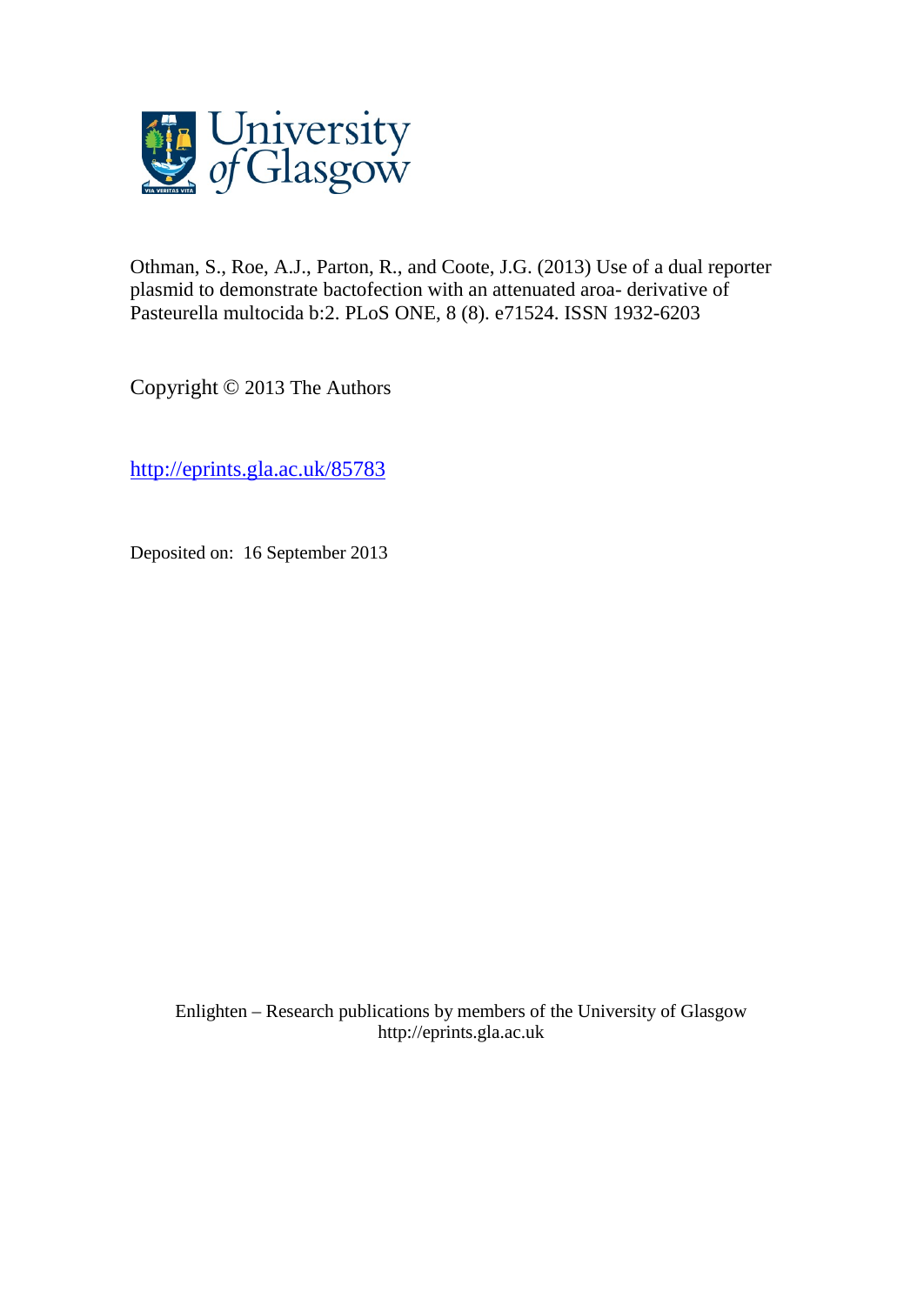

Othman, S., Roe, A.J., Parton, R., and Coote, J.G. (2013) Use of a dual reporter plasmid to demonstrate bactofection with an attenuated aroa- derivative of Pasteurella multocida b:2. PLoS ONE, 8 (8). e71524. ISSN 1932-6203

Copyright © 2013 The Authors

<http://eprints.gla.ac.uk/85783>

Deposited on: 16 September 2013

Enlighten – Research publications by members of the University of Glasgo[w](http://eprints.gla.ac.uk/) [http://eprints.gla.ac.uk](http://eprints.gla.ac.uk/)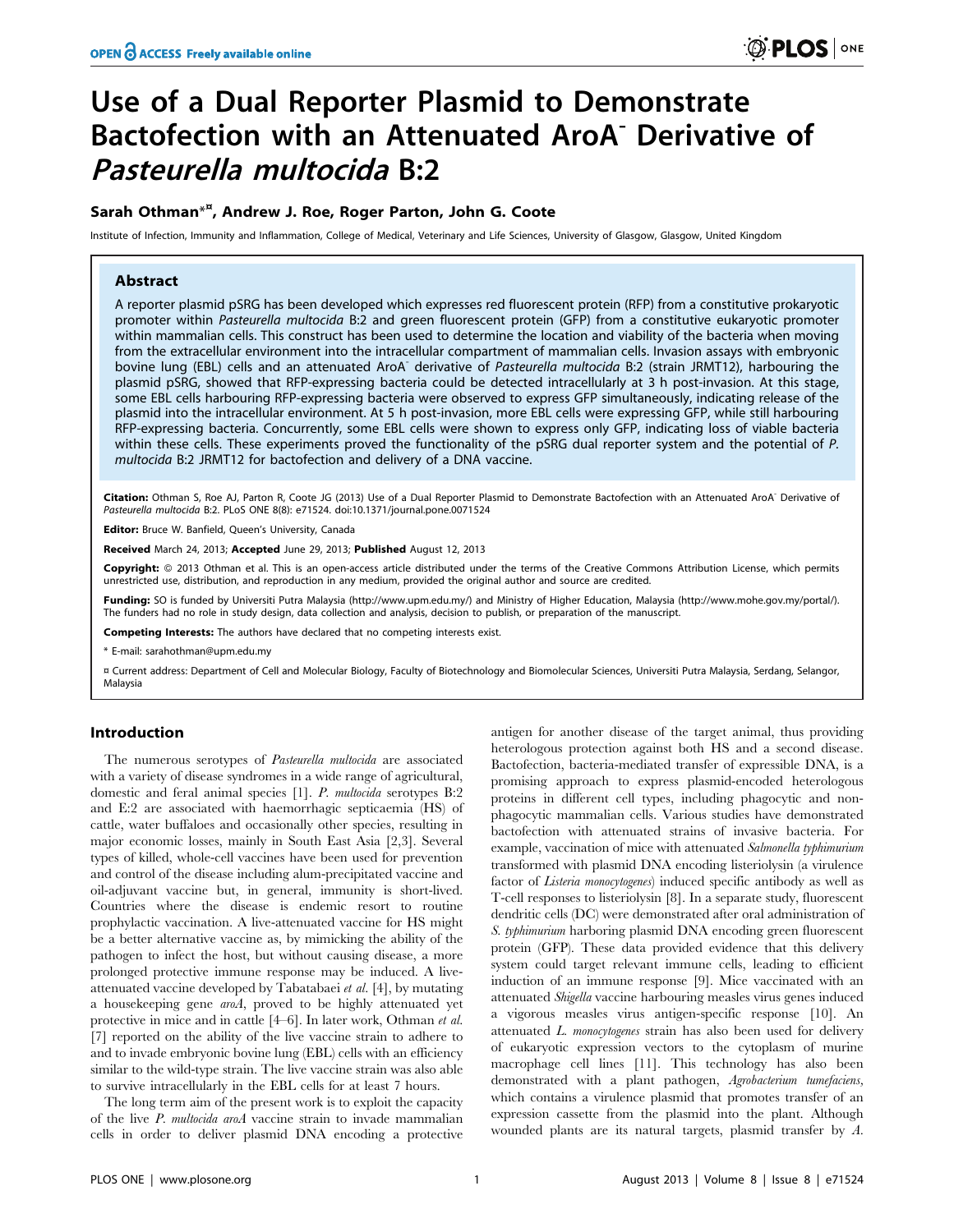# Use of a Dual Reporter Plasmid to Demonstrate Bactofection with an Attenuated AroA<sup>-</sup> Derivative of Pasteurella multocida B:2

## Sarah Othman<sup>\*¤</sup>, Andrew J. Roe, Roger Parton, John G. Coote

Institute of Infection, Immunity and Inflammation, College of Medical, Veterinary and Life Sciences, University of Glasgow, Glasgow, United Kingdom

## Abstract

A reporter plasmid pSRG has been developed which expresses red fluorescent protein (RFP) from a constitutive prokaryotic promoter within Pasteurella multocida B:2 and green fluorescent protein (GFP) from a constitutive eukaryotic promoter within mammalian cells. This construct has been used to determine the location and viability of the bacteria when moving from the extracellular environment into the intracellular compartment of mammalian cells. Invasion assays with embryonic bovine lung (EBL) cells and an attenuated AroA<sup>-</sup> derivative of Pasteurella multocida B:2 (strain JRMT12), harbouring the plasmid pSRG, showed that RFP-expressing bacteria could be detected intracellularly at 3 h post-invasion. At this stage, some EBL cells harbouring RFP-expressing bacteria were observed to express GFP simultaneously, indicating release of the plasmid into the intracellular environment. At 5 h post-invasion, more EBL cells were expressing GFP, while still harbouring RFP-expressing bacteria. Concurrently, some EBL cells were shown to express only GFP, indicating loss of viable bacteria within these cells. These experiments proved the functionality of the pSRG dual reporter system and the potential of P. multocida B:2 JRMT12 for bactofection and delivery of a DNA vaccine.

Citation: Othman S, Roe AJ, Parton R, Coote JG (2013) Use of a Dual Reporter Plasmid to Demonstrate Bactofection with an Attenuated AroA<sup>-</sup> Derivative of Pasteurella multocida B:2. PLoS ONE 8(8): e71524. doi:10.1371/journal.pone.0071524

Editor: Bruce W. Banfield, Queen's University, Canada

Received March 24, 2013; Accepted June 29, 2013; Published August 12, 2013

Copyright: @ 2013 Othman et al. This is an open-access article distributed under the terms of the Creative Commons Attribution License, which permits unrestricted use, distribution, and reproduction in any medium, provided the original author and source are credited.

Funding: SO is funded by Universiti Putra Malaysia (http://www.upm.edu.my/) and Ministry of Higher Education, Malaysia (http://www.mohe.gov.my/portal/). The funders had no role in study design, data collection and analysis, decision to publish, or preparation of the manuscript.

**Competing Interests:** The authors have declared that no competing interests exist.

\* E-mail: sarahothman@upm.edu.my

¤ Current address: Department of Cell and Molecular Biology, Faculty of Biotechnology and Biomolecular Sciences, Universiti Putra Malaysia, Serdang, Selangor, Malaysia

## Introduction

The numerous serotypes of *Pasteurella multocida* are associated with a variety of disease syndromes in a wide range of agricultural, domestic and feral animal species [1]. P. multocida serotypes B:2 and E:2 are associated with haemorrhagic septicaemia (HS) of cattle, water buffaloes and occasionally other species, resulting in major economic losses, mainly in South East Asia [2,3]. Several types of killed, whole-cell vaccines have been used for prevention and control of the disease including alum-precipitated vaccine and oil-adjuvant vaccine but, in general, immunity is short-lived. Countries where the disease is endemic resort to routine prophylactic vaccination. A live-attenuated vaccine for HS might be a better alternative vaccine as, by mimicking the ability of the pathogen to infect the host, but without causing disease, a more prolonged protective immune response may be induced. A liveattenuated vaccine developed by Tabatabaei et al. [4], by mutating a housekeeping gene aroA, proved to be highly attenuated yet protective in mice and in cattle [4–6]. In later work, Othman et al. [7] reported on the ability of the live vaccine strain to adhere to and to invade embryonic bovine lung (EBL) cells with an efficiency similar to the wild-type strain. The live vaccine strain was also able to survive intracellularly in the EBL cells for at least 7 hours.

The long term aim of the present work is to exploit the capacity of the live P. multocida aroA vaccine strain to invade mammalian cells in order to deliver plasmid DNA encoding a protective

antigen for another disease of the target animal, thus providing heterologous protection against both HS and a second disease. Bactofection, bacteria-mediated transfer of expressible DNA, is a promising approach to express plasmid-encoded heterologous proteins in different cell types, including phagocytic and nonphagocytic mammalian cells. Various studies have demonstrated bactofection with attenuated strains of invasive bacteria. For example, vaccination of mice with attenuated Salmonella typhimurium transformed with plasmid DNA encoding listeriolysin (a virulence factor of Listeria monocytogenes) induced specific antibody as well as T-cell responses to listeriolysin [8]. In a separate study, fluorescent dendritic cells (DC) were demonstrated after oral administration of S. typhimurium harboring plasmid DNA encoding green fluorescent protein (GFP). These data provided evidence that this delivery system could target relevant immune cells, leading to efficient induction of an immune response [9]. Mice vaccinated with an attenuated Shigella vaccine harbouring measles virus genes induced a vigorous measles virus antigen-specific response [10]. An attenuated L. monocytogenes strain has also been used for delivery of eukaryotic expression vectors to the cytoplasm of murine macrophage cell lines [11]. This technology has also been demonstrated with a plant pathogen, Agrobacterium tumefaciens, which contains a virulence plasmid that promotes transfer of an expression cassette from the plasmid into the plant. Although wounded plants are its natural targets, plasmid transfer by A.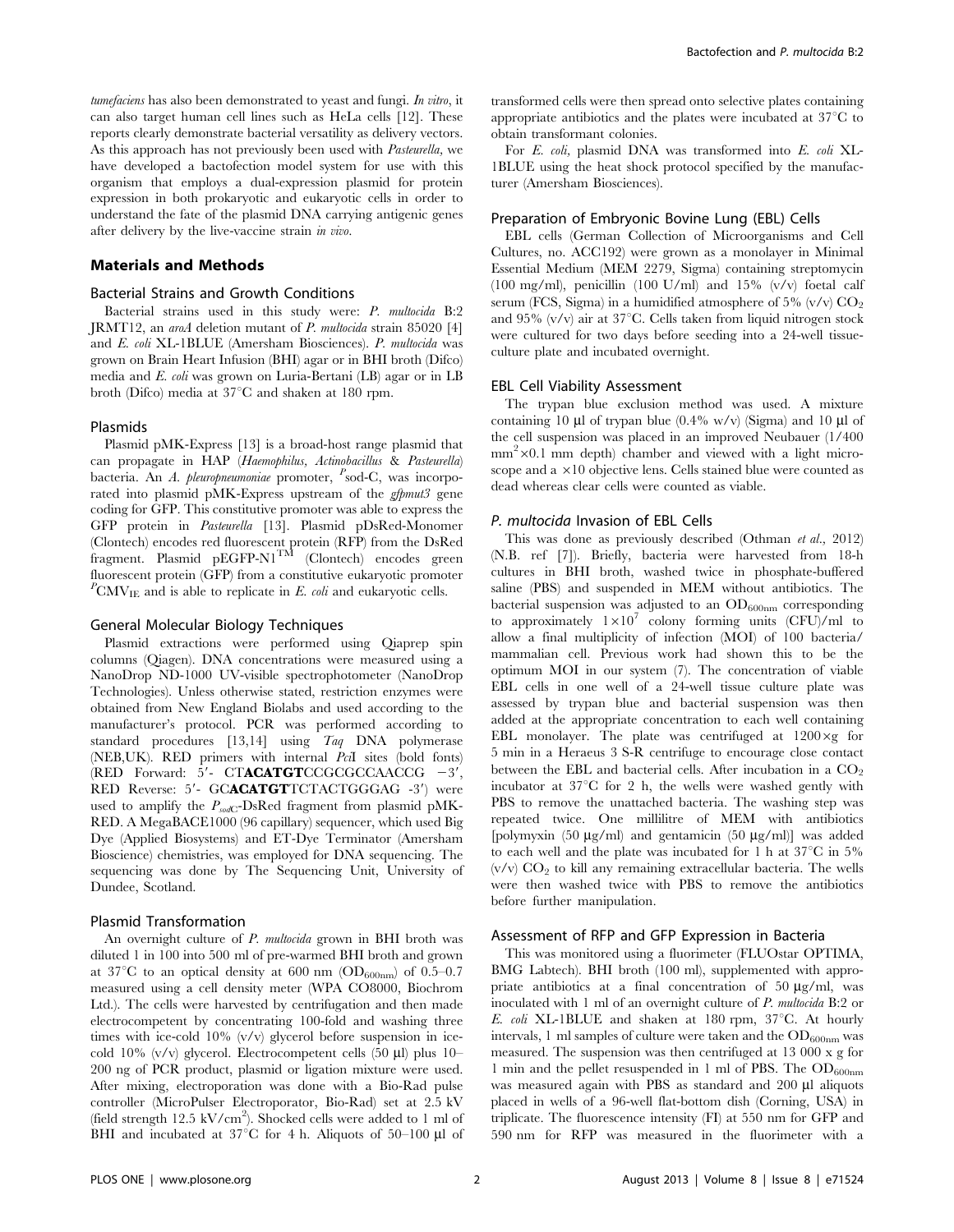tumefaciens has also been demonstrated to yeast and fungi. In vitro, it can also target human cell lines such as HeLa cells [12]. These reports clearly demonstrate bacterial versatility as delivery vectors. As this approach has not previously been used with Pasteurella, we have developed a bactofection model system for use with this organism that employs a dual-expression plasmid for protein expression in both prokaryotic and eukaryotic cells in order to understand the fate of the plasmid DNA carrying antigenic genes after delivery by the live-vaccine strain in vivo.

#### Materials and Methods

#### Bacterial Strains and Growth Conditions

Bacterial strains used in this study were: P. multocida B:2 JRMT12, an aroA deletion mutant of P. multocida strain 85020 [4] and E. coli XL-1BLUE (Amersham Biosciences). P. multocida was grown on Brain Heart Infusion (BHI) agar or in BHI broth (Difco) media and E. coli was grown on Luria-Bertani (LB) agar or in LB broth (Difco) media at  $37^{\circ}$ C and shaken at 180 rpm.

#### Plasmids

Plasmid pMK-Express [13] is a broad-host range plasmid that can propagate in HAP (Haemophilus, Actinobacillus & Pasteurella) bacteria. An A. pleuropneumoniae promoter, <sup>P</sup>sod-C, was incorporated into plasmid pMK-Express upstream of the *gfpmut3* gene coding for GFP. This constitutive promoter was able to express the GFP protein in Pasteurella [13]. Plasmid pDsRed-Monomer (Clontech) encodes red fluorescent protein (RFP) from the DsRed fragment. Plasmid  $\tt pEGFP-N1^{TM}$  (Clontech) encodes green fluorescent protein (GFP) from a constitutive eukaryotic promoter  ${}^P\text{CMV}_{\text{IE}}$  and is able to replicate in E. coli and eukaryotic cells.

#### General Molecular Biology Techniques

Plasmid extractions were performed using Qiaprep spin columns (Qiagen). DNA concentrations were measured using a NanoDrop ND-1000 UV-visible spectrophotometer (NanoDrop Technologies). Unless otherwise stated, restriction enzymes were obtained from New England Biolabs and used according to the manufacturer's protocol. PCR was performed according to standard procedures [13,14] using Taq DNA polymerase (NEB,UK). RED primers with internal PciI sites (bold fonts) (RED Forward:  $5'$ - CTACATGTCCGCGCCAACCG  $-3'$ , RED Reverse: 5'- GCACATGTTCTACTGGGAG -3') were used to amplify the  $P_{sodC}$ -DsRed fragment from plasmid pMK-RED. A MegaBACE1000 (96 capillary) sequencer, which used Big Dye (Applied Biosystems) and ET-Dye Terminator (Amersham Bioscience) chemistries, was employed for DNA sequencing. The sequencing was done by The Sequencing Unit, University of Dundee, Scotland.

#### Plasmid Transformation

An overnight culture of *P. multocida* grown in BHI broth was diluted 1 in 100 into 500 ml of pre-warmed BHI broth and grown at 37<sup>°</sup>C to an optical density at 600 nm ( $OD_{600nm}$ ) of 0.5–0.7 measured using a cell density meter (WPA CO8000, Biochrom Ltd.). The cells were harvested by centrifugation and then made electrocompetent by concentrating 100-fold and washing three times with ice-cold 10% (v/v) glycerol before suspension in icecold 10%  $(v/v)$  glycerol. Electrocompetent cells (50  $\mu$ l) plus 10– 200 ng of PCR product, plasmid or ligation mixture were used. After mixing, electroporation was done with a Bio-Rad pulse controller (MicroPulser Electroporator, Bio-Rad) set at 2.5 kV (field strength 12.5  $\text{kV/cm}^2$ ). Shocked cells were added to 1 ml of BHI and incubated at  $37^{\circ}$ C for 4 h. Aliquots of  $50-100 \mu$ l of transformed cells were then spread onto selective plates containing appropriate antibiotics and the plates were incubated at  $37^{\circ}$ C to obtain transformant colonies.

For E. coli, plasmid DNA was transformed into E. coli XL-1BLUE using the heat shock protocol specified by the manufacturer (Amersham Biosciences).

#### Preparation of Embryonic Bovine Lung (EBL) Cells

EBL cells (German Collection of Microorganisms and Cell Cultures, no. ACC192) were grown as a monolayer in Minimal Essential Medium (MEM 2279, Sigma) containing streptomycin (100 mg/ml), penicillin (100 U/ml) and 15%  $(v/v)$  foetal calf serum (FCS, Sigma) in a humidified atmosphere of  $5\%$  (v/v)  $CO<sub>2</sub>$ and 95%  $(v/v)$  air at 37°C. Cells taken from liquid nitrogen stock were cultured for two days before seeding into a 24-well tissueculture plate and incubated overnight.

#### EBL Cell Viability Assessment

The trypan blue exclusion method was used. A mixture containing 10  $\mu$ l of trypan blue (0.4% w/v) (Sigma) and 10  $\mu$ l of the cell suspension was placed in an improved Neubauer (1/400 mm<sup>2</sup> × 0.1 mm depth) chamber and viewed with a light microscope and a  $\times$ 10 objective lens. Cells stained blue were counted as dead whereas clear cells were counted as viable.

#### P. multocida Invasion of EBL Cells

This was done as previously described (Othman *et al.*, 2012) (N.B. ref [7]). Briefly, bacteria were harvested from 18-h cultures in BHI broth, washed twice in phosphate-buffered saline (PBS) and suspended in MEM without antibiotics. The bacterial suspension was adjusted to an  $OD_{600nm}$  corresponding to approximately  $1\times10^7$  colony forming units (CFU)/ml to allow a final multiplicity of infection (MOI) of 100 bacteria/ mammalian cell. Previous work had shown this to be the optimum MOI in our system (7). The concentration of viable EBL cells in one well of a 24-well tissue culture plate was assessed by trypan blue and bacterial suspension was then added at the appropriate concentration to each well containing EBL monolayer. The plate was centrifuged at  $1200 \times g$  for 5 min in a Heraeus 3 S-R centrifuge to encourage close contact between the EBL and bacterial cells. After incubation in a  $CO<sub>2</sub>$ incubator at  $37^{\circ}$ C for 2 h, the wells were washed gently with PBS to remove the unattached bacteria. The washing step was repeated twice. One millilitre of MEM with antibiotics [polymyxin (50  $\mu$ g/ml) and gentamicin (50  $\mu$ g/ml)] was added to each well and the plate was incubated for 1 h at  $37^{\circ}$ C in  $5\%$  $(v/v)$   $CO<sub>2</sub>$  to kill any remaining extracellular bacteria. The wells were then washed twice with PBS to remove the antibiotics before further manipulation.

#### Assessment of RFP and GFP Expression in Bacteria

This was monitored using a fluorimeter (FLUOstar OPTIMA, BMG Labtech). BHI broth (100 ml), supplemented with appropriate antibiotics at a final concentration of 50  $\mu$ g/ml, was inoculated with 1 ml of an overnight culture of P. multocida B:2 or E. coli XL-1BLUE and shaken at 180 rpm,  $37^{\circ}$ C. At hourly intervals, 1 ml samples of culture were taken and the  $OD_{600nm}$  was measured. The suspension was then centrifuged at 13 000 x g for 1 min and the pellet resuspended in 1 ml of PBS. The  $OD_{600nm}$ was measured again with PBS as standard and 200 µl aliquots placed in wells of a 96-well flat-bottom dish (Corning, USA) in triplicate. The fluorescence intensity (FI) at 550 nm for GFP and 590 nm for RFP was measured in the fluorimeter with a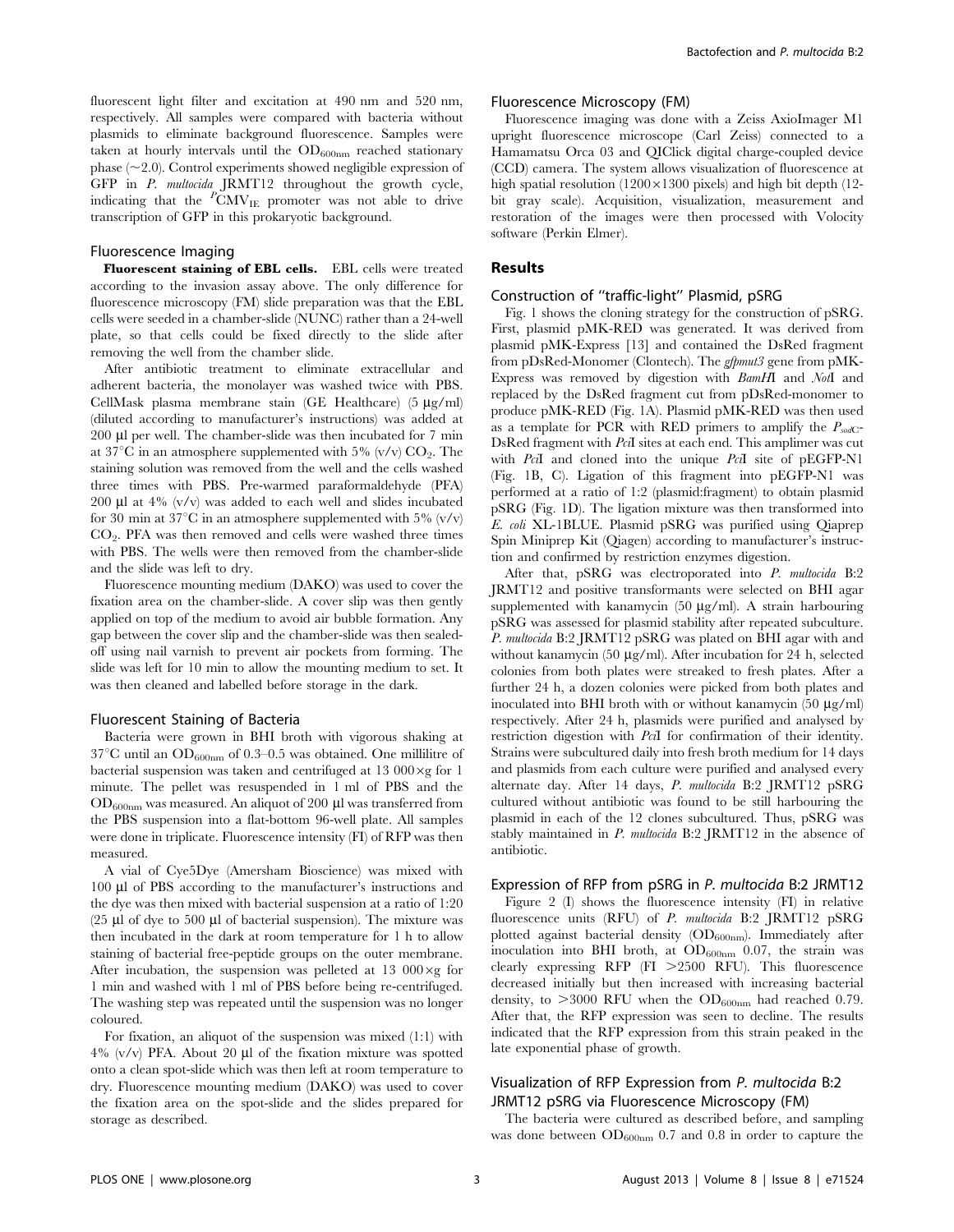fluorescent light filter and excitation at 490 nm and 520 nm, respectively. All samples were compared with bacteria without plasmids to eliminate background fluorescence. Samples were taken at hourly intervals until the  $OD_{600nm}$  reached stationary phase  $(\sim 2.0)$ . Control experiments showed negligible expression of GFP in P. multocida JRMT12 throughout the growth cycle, indicating that the  $\overline{P}_{\rm CMV_{IE}}$  promoter was not able to drive transcription of GFP in this prokaryotic background.

#### Fluorescence Imaging

Fluorescent staining of EBL cells. EBL cells were treated according to the invasion assay above. The only difference for fluorescence microscopy (FM) slide preparation was that the EBL cells were seeded in a chamber-slide (NUNC) rather than a 24-well plate, so that cells could be fixed directly to the slide after removing the well from the chamber slide.

After antibiotic treatment to eliminate extracellular and adherent bacteria, the monolayer was washed twice with PBS. CellMask plasma membrane stain (GE Healthcare) (5  $\mu$ g/ml) (diluted according to manufacturer's instructions) was added at 200 µl per well. The chamber-slide was then incubated for 7 min at 37<sup>°</sup>C in an atmosphere supplemented with 5%  $(v/v)$  CO<sub>2</sub>. The staining solution was removed from the well and the cells washed three times with PBS. Pre-warmed paraformaldehyde (PFA) 200  $\mu$ l at 4% (v/v) was added to each well and slides incubated for 30 min at 37°C in an atmosphere supplemented with 5%  $(v/v)$  $CO<sub>2</sub>$ . PFA was then removed and cells were washed three times with PBS. The wells were then removed from the chamber-slide and the slide was left to dry.

Fluorescence mounting medium (DAKO) was used to cover the fixation area on the chamber-slide. A cover slip was then gently applied on top of the medium to avoid air bubble formation. Any gap between the cover slip and the chamber-slide was then sealedoff using nail varnish to prevent air pockets from forming. The slide was left for 10 min to allow the mounting medium to set. It was then cleaned and labelled before storage in the dark.

#### Fluorescent Staining of Bacteria

Bacteria were grown in BHI broth with vigorous shaking at  $37^{\circ}$ C until an OD<sub>600nm</sub> of 0.3–0.5 was obtained. One millilitre of bacterial suspension was taken and centrifuged at  $13\ 000 \times g$  for 1 minute. The pellet was resuspended in 1 ml of PBS and the  $OD_{600nm}$  was measured. An aliquot of 200  $\mu$ l was transferred from the PBS suspension into a flat-bottom 96-well plate. All samples were done in triplicate. Fluorescence intensity (FI) of RFP was then measured.

A vial of Cye5Dye (Amersham Bioscience) was mixed with 100 ml of PBS according to the manufacturer's instructions and the dye was then mixed with bacterial suspension at a ratio of 1:20  $(25 \mu)$  of dye to 500  $\mu$ l of bacterial suspension). The mixture was then incubated in the dark at room temperature for 1 h to allow staining of bacterial free-peptide groups on the outer membrane. After incubation, the suspension was pelleted at 13  $000 \times g$  for 1 min and washed with 1 ml of PBS before being re-centrifuged. The washing step was repeated until the suspension was no longer coloured.

For fixation, an aliquot of the suspension was mixed (1:1) with  $4\%$  (v/v) PFA. About 20 µl of the fixation mixture was spotted onto a clean spot-slide which was then left at room temperature to dry. Fluorescence mounting medium (DAKO) was used to cover the fixation area on the spot-slide and the slides prepared for storage as described.

#### Fluorescence Microscopy (FM)

Fluorescence imaging was done with a Zeiss AxioImager M1 upright fluorescence microscope (Carl Zeiss) connected to a Hamamatsu Orca 03 and QIClick digital charge-coupled device (CCD) camera. The system allows visualization of fluorescence at high spatial resolution  $(1200 \times 1300)$  pixels) and high bit depth (12bit gray scale). Acquisition, visualization, measurement and restoration of the images were then processed with Volocity software (Perkin Elmer).

#### Results

#### Construction of ''traffic-light'' Plasmid, pSRG

Fig. 1 shows the cloning strategy for the construction of pSRG. First, plasmid pMK-RED was generated. It was derived from plasmid pMK-Express [13] and contained the DsRed fragment from pDsRed-Monomer (Clontech). The gfpmut3 gene from pMK-Express was removed by digestion with BamHI and NotI and replaced by the DsRed fragment cut from pDsRed-monomer to produce pMK-RED (Fig. 1A). Plasmid pMK-RED was then used as a template for PCR with RED primers to amplify the  $P_{sodC}$ -DsRed fragment with PciI sites at each end. This amplimer was cut with PciI and cloned into the unique PciI site of pEGFP-N1 (Fig. 1B, C). Ligation of this fragment into pEGFP-N1 was performed at a ratio of 1:2 (plasmid:fragment) to obtain plasmid pSRG (Fig. 1D). The ligation mixture was then transformed into E. coli XL-1BLUE. Plasmid pSRG was purified using Qiaprep Spin Miniprep Kit (Qiagen) according to manufacturer's instruction and confirmed by restriction enzymes digestion.

After that, pSRG was electroporated into P. multocida B:2 JRMT12 and positive transformants were selected on BHI agar supplemented with kanamycin  $(50 \mu g/ml)$ . A strain harbouring pSRG was assessed for plasmid stability after repeated subculture. P. multocida B:2 JRMT12 pSRG was plated on BHI agar with and without kanamycin (50  $\mu$ g/ml). After incubation for 24 h, selected colonies from both plates were streaked to fresh plates. After a further 24 h, a dozen colonies were picked from both plates and inoculated into BHI broth with or without kanamycin  $(50 \mu g/ml)$ respectively. After 24 h, plasmids were purified and analysed by restriction digestion with PciI for confirmation of their identity. Strains were subcultured daily into fresh broth medium for 14 days and plasmids from each culture were purified and analysed every alternate day. After 14 days, P. multocida B:2 JRMT12 pSRG cultured without antibiotic was found to be still harbouring the plasmid in each of the 12 clones subcultured. Thus, pSRG was stably maintained in P. multocida B:2 JRMT12 in the absence of antibiotic.

### Expression of RFP from pSRG in P. multocida B:2 JRMT12

Figure 2 (I) shows the fluorescence intensity (FI) in relative fluorescence units (RFU) of P. multocida B:2 JRMT12 pSRG plotted against bacterial density  $(OD_{600nm})$ . Immediately after inoculation into BHI broth, at  $OD_{600nm}$  0.07, the strain was clearly expressing RFP  $(FI > 2500$  RFU). This fluorescence decreased initially but then increased with increasing bacterial density, to  $>3000$  RFU when the OD<sub>600nm</sub> had reached 0.79. After that, the RFP expression was seen to decline. The results indicated that the RFP expression from this strain peaked in the late exponential phase of growth.

## Visualization of RFP Expression from P. multocida B:2 JRMT12 pSRG via Fluorescence Microscopy (FM)

The bacteria were cultured as described before, and sampling was done between  $OD_{600nm}$  0.7 and 0.8 in order to capture the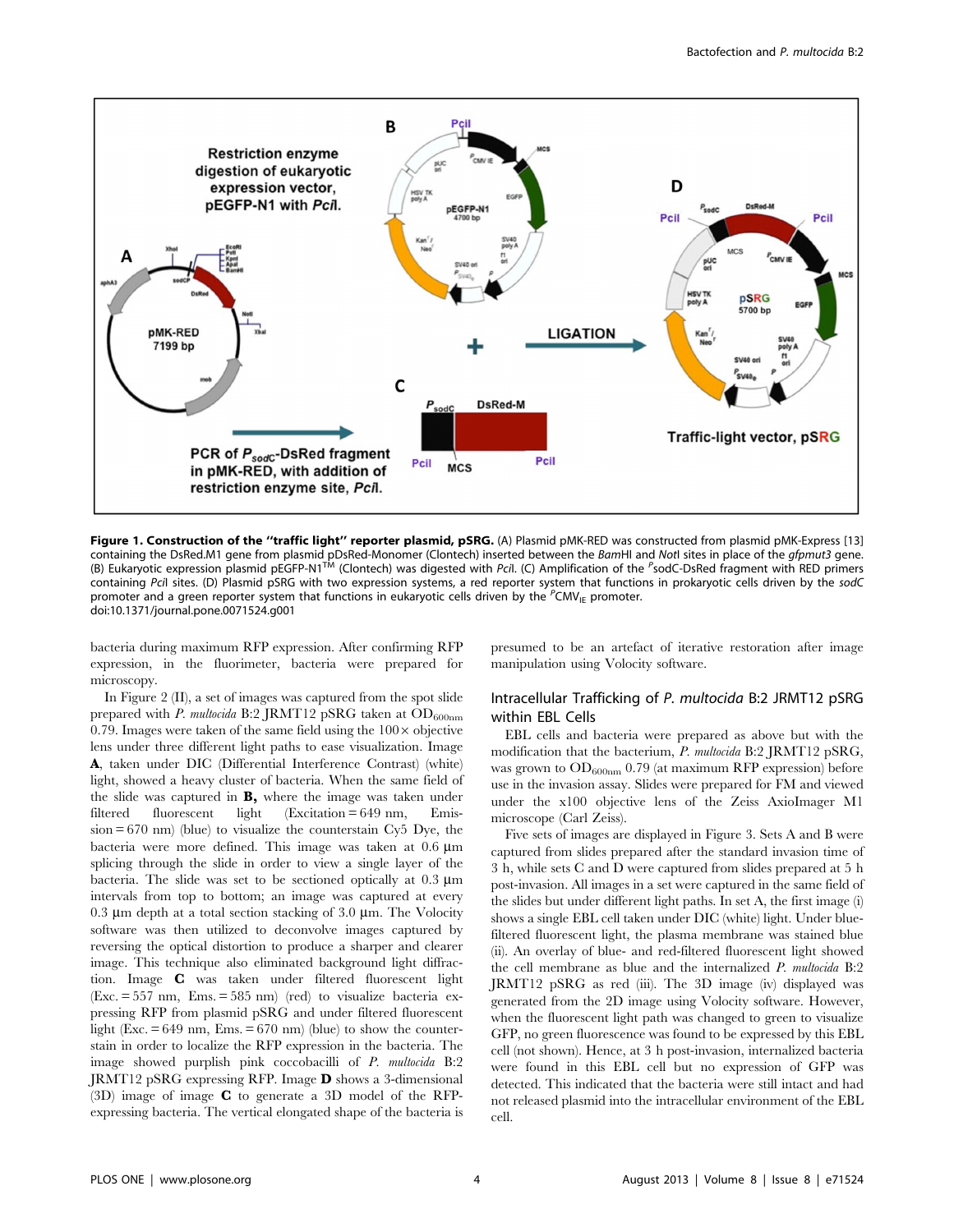

Figure 1. Construction of the "traffic light" reporter plasmid, pSRG. (A) Plasmid pMK-RED was constructed from plasmid pMK-Express [13] containing the DsRed.M1 gene from plasmid pDsRed-Monomer (Clontech) inserted between the *Bam*HI and NotI sites in place of the *gfpmut3* gene.<br>(B) Eukaryotic expression plasmid pEGFP-N1<sup>TM</sup> (Clontech) was digested with *P* containing Pcil sites. (D) Plasmid pSRG with two expression systems, a red reporter system that functions in prokaryotic cells driven by the sodC promoter and a green reporter system that functions in eukaryotic cells driven by the <sup>P</sup>CMV<sub>IE</sub> promoter. doi:10.1371/journal.pone.0071524.g001

bacteria during maximum RFP expression. After confirming RFP expression, in the fluorimeter, bacteria were prepared for microscopy.

In Figure 2 (II), a set of images was captured from the spot slide prepared with P. multocida B:2 JRMT12 pSRG taken at  $OD_{600nm}$ 0.79. Images were taken of the same field using the  $100 \times$  objective lens under three different light paths to ease visualization. Image A, taken under DIC (Differential Interference Contrast) (white) light, showed a heavy cluster of bacteria. When the same field of the slide was captured in B, where the image was taken under filtered fluorescent light (Excitation = 649 nm, Emis $sion = 670$  nm) (blue) to visualize the counterstain Cy<sub>5</sub> Dye, the bacteria were more defined. This image was taken at  $0.6 \ \mu m$ splicing through the slide in order to view a single layer of the bacteria. The slide was set to be sectioned optically at  $0.3 \mu m$ intervals from top to bottom; an image was captured at every 0.3  $\mu$ m depth at a total section stacking of 3.0  $\mu$ m. The Volocity software was then utilized to deconvolve images captured by reversing the optical distortion to produce a sharper and clearer image. This technique also eliminated background light diffraction. Image C was taken under filtered fluorescent light  $(Exc. = 557 nm, Ems. = 585 nm)$  (red) to visualize bacteria expressing RFP from plasmid pSRG and under filtered fluorescent light (Exc.  $= 649$  nm, Ems.  $= 670$  nm) (blue) to show the counterstain in order to localize the RFP expression in the bacteria. The image showed purplish pink coccobacilli of P. multocida B:2 JRMT12 pSRG expressing RFP. Image D shows a 3-dimensional (3D) image of image C to generate a 3D model of the RFPexpressing bacteria. The vertical elongated shape of the bacteria is

presumed to be an artefact of iterative restoration after image manipulation using Volocity software.

## Intracellular Trafficking of P. multocida B:2 JRMT12 pSRG within EBL Cells

EBL cells and bacteria were prepared as above but with the modification that the bacterium, P. multocida B:2 JRMT12 pSRG, was grown to  $OD_{600nm}$  0.79 (at maximum RFP expression) before use in the invasion assay. Slides were prepared for FM and viewed under the x100 objective lens of the Zeiss AxioImager M1 microscope (Carl Zeiss).

Five sets of images are displayed in Figure 3. Sets A and B were captured from slides prepared after the standard invasion time of 3 h, while sets C and D were captured from slides prepared at 5 h post-invasion. All images in a set were captured in the same field of the slides but under different light paths. In set A, the first image (i) shows a single EBL cell taken under DIC (white) light. Under bluefiltered fluorescent light, the plasma membrane was stained blue (ii). An overlay of blue- and red-filtered fluorescent light showed the cell membrane as blue and the internalized P. multocida B:2 JRMT12 pSRG as red (iii). The 3D image (iv) displayed was generated from the 2D image using Volocity software. However, when the fluorescent light path was changed to green to visualize GFP, no green fluorescence was found to be expressed by this EBL cell (not shown). Hence, at 3 h post-invasion, internalized bacteria were found in this EBL cell but no expression of GFP was detected. This indicated that the bacteria were still intact and had not released plasmid into the intracellular environment of the EBL cell.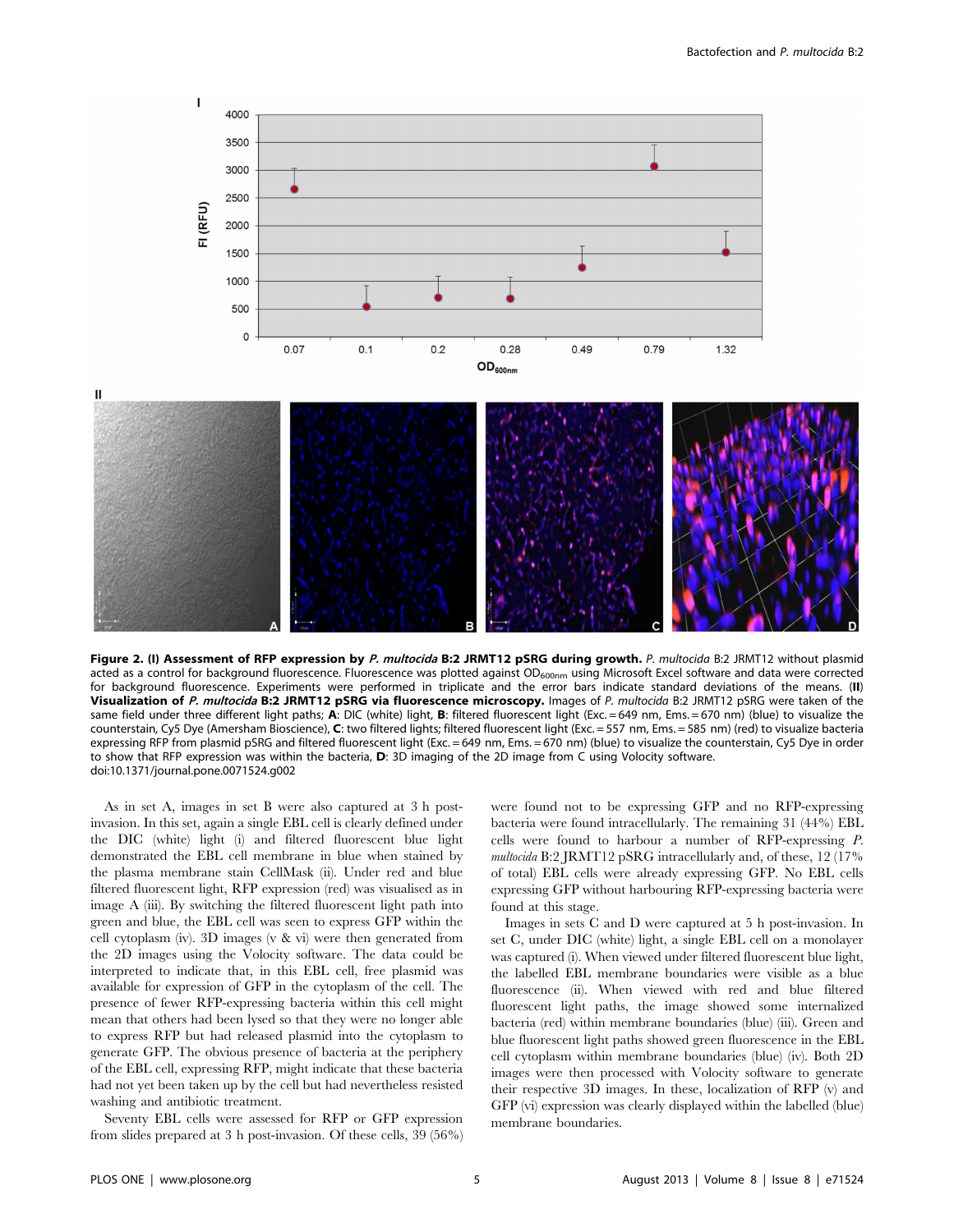

Figure 2. (I) Assessment of RFP expression by P. multocida B:2 JRMT12 pSRG during growth. P. multocida B:2 JRMT12 without plasmid acted as a control for background fluorescence. Fluorescence was plotted against OD<sub>600nm</sub> using Microsoft Excel software and data were corrected for background fluorescence. Experiments were performed in triplicate and the error bars indicate standard deviations of the means. (II) Visualization of P. multocida B:2 JRMT12 pSRG via fluorescence microscopy. Images of P. multocida B:2 JRMT12 pSRG were taken of the same field under three different light paths; A: DIC (white) light, B: filtered fluorescent light (Exc. = 649 nm, Ems. = 670 nm) (blue) to visualize the counterstain, Cy5 Dye (Amersham Bioscience), C: two filtered lights; filtered fluorescent light (Exc. = 557 nm, Ems. = 585 nm) (red) to visualize bacteria expressing RFP from plasmid pSRG and filtered fluorescent light (Exc. = 649 nm, Ems. = 670 nm) (blue) to visualize the counterstain, Cy5 Dye in order to show that RFP expression was within the bacteria, D: 3D imaging of the 2D image from C using Volocity software. doi:10.1371/journal.pone.0071524.g002

As in set A, images in set B were also captured at 3 h postinvasion. In this set, again a single EBL cell is clearly defined under the DIC (white) light (i) and filtered fluorescent blue light demonstrated the EBL cell membrane in blue when stained by the plasma membrane stain CellMask (ii). Under red and blue filtered fluorescent light, RFP expression (red) was visualised as in image A (iii). By switching the filtered fluorescent light path into green and blue, the EBL cell was seen to express GFP within the cell cytoplasm (iv). 3D images (v & vi) were then generated from the 2D images using the Volocity software. The data could be interpreted to indicate that, in this EBL cell, free plasmid was available for expression of GFP in the cytoplasm of the cell. The presence of fewer RFP-expressing bacteria within this cell might mean that others had been lysed so that they were no longer able to express RFP but had released plasmid into the cytoplasm to generate GFP. The obvious presence of bacteria at the periphery of the EBL cell, expressing RFP, might indicate that these bacteria had not yet been taken up by the cell but had nevertheless resisted washing and antibiotic treatment.

Seventy EBL cells were assessed for RFP or GFP expression from slides prepared at 3 h post-invasion. Of these cells, 39 (56%) were found not to be expressing GFP and no RFP-expressing bacteria were found intracellularly. The remaining 31 (44%) EBL cells were found to harbour a number of RFP-expressing P. multocida B:2 JRMT12 pSRG intracellularly and, of these, 12 (17% of total) EBL cells were already expressing GFP. No EBL cells expressing GFP without harbouring RFP-expressing bacteria were found at this stage.

Images in sets C and D were captured at 5 h post-invasion. In set C, under DIC (white) light, a single EBL cell on a monolayer was captured (i). When viewed under filtered fluorescent blue light, the labelled EBL membrane boundaries were visible as a blue fluorescence (ii). When viewed with red and blue filtered fluorescent light paths, the image showed some internalized bacteria (red) within membrane boundaries (blue) (iii). Green and blue fluorescent light paths showed green fluorescence in the EBL cell cytoplasm within membrane boundaries (blue) (iv). Both 2D images were then processed with Volocity software to generate their respective 3D images. In these, localization of RFP (v) and GFP (vi) expression was clearly displayed within the labelled (blue) membrane boundaries.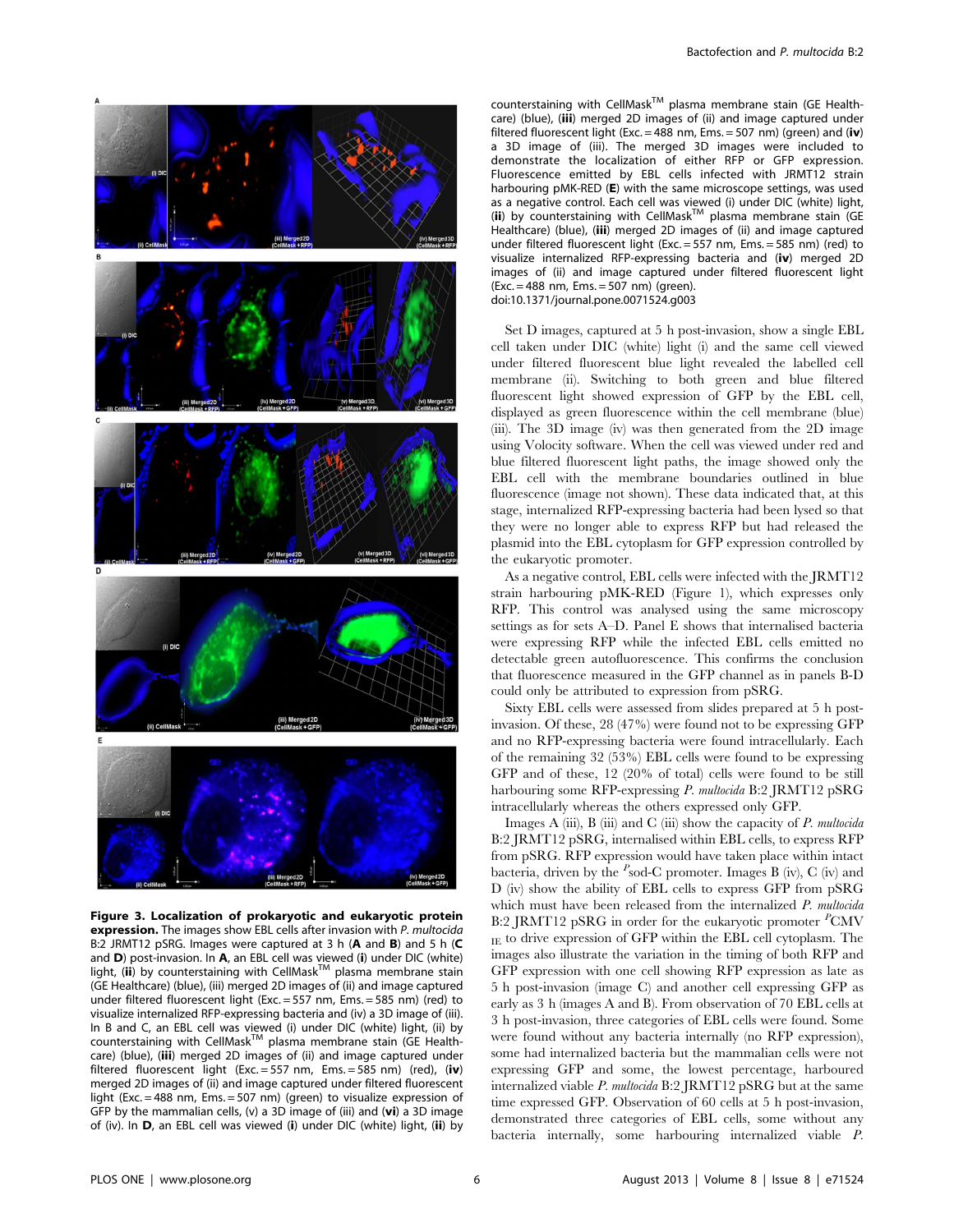

Figure 3. Localization of prokaryotic and eukaryotic protein **expression.** The images show EBL cells after invasion with P. multocida B:2 JRMT12 pSRG. Images were captured at 3 h (A and B) and 5 h (C and D) post-invasion. In A, an EBL cell was viewed (i) under DIC (white) light, (ii) by counterstaining with CellMask<sup>TM</sup> plasma membrane stain (GE Healthcare) (blue), (iii) merged 2D images of (ii) and image captured under filtered fluorescent light (Exc. = 557 nm, Ems. = 585 nm) (red) to visualize internalized RFP-expressing bacteria and (iv) a 3D image of (iii). In B and C, an EBL cell was viewed (i) under DIC (white) light, (ii) by<br>counterstaining with CellMask™ plasma membrane stain (GE Healthcare) (blue), (iii) merged 2D images of (ii) and image captured under filtered fluorescent light (Exc. = 557 nm, Ems. = 585 nm) (red), (iv) merged 2D images of (ii) and image captured under filtered fluorescent light (Exc. = 488 nm, Ems. = 507 nm) (green) to visualize expression of GFP by the mammalian cells, (v) a 3D image of (iii) and ( $vi$ ) a 3D image of (iv). In D, an EBL cell was viewed (i) under DIC (white) light, (ii) by

 $counterstaining with CellMask<sup>TM</sup> plasma membrane stain (GE Health$ care) (blue), (iii) merged 2D images of (ii) and image captured under filtered fluorescent light (Exc. = 488 nm, Ems. = 507 nm) (green) and (iv) a 3D image of (iii). The merged 3D images were included to demonstrate the localization of either RFP or GFP expression. Fluorescence emitted by EBL cells infected with JRMT12 strain harbouring pMK-RED (E) with the same microscope settings, was used as a negative control. Each cell was viewed (i) under DIC (white) light, (ii) by counterstaining with  $CellMask^{TM}$  plasma membrane stain (GE) Healthcare) (blue), (iii) merged 2D images of (ii) and image captured under filtered fluorescent light (Exc. = 557 nm, Ems. = 585 nm) (red) to visualize internalized RFP-expressing bacteria and (iv) merged 2D images of (ii) and image captured under filtered fluorescent light (Exc. = 488 nm, Ems. = 507 nm) (green). doi:10.1371/journal.pone.0071524.g003

Set D images, captured at 5 h post-invasion, show a single EBL cell taken under DIC (white) light (i) and the same cell viewed under filtered fluorescent blue light revealed the labelled cell membrane (ii). Switching to both green and blue filtered fluorescent light showed expression of GFP by the EBL cell, displayed as green fluorescence within the cell membrane (blue) (iii). The 3D image (iv) was then generated from the 2D image using Volocity software. When the cell was viewed under red and blue filtered fluorescent light paths, the image showed only the EBL cell with the membrane boundaries outlined in blue fluorescence (image not shown). These data indicated that, at this stage, internalized RFP-expressing bacteria had been lysed so that they were no longer able to express RFP but had released the plasmid into the EBL cytoplasm for GFP expression controlled by the eukaryotic promoter.

As a negative control, EBL cells were infected with the JRMT12 strain harbouring pMK-RED (Figure 1), which expresses only RFP. This control was analysed using the same microscopy settings as for sets A–D. Panel E shows that internalised bacteria were expressing RFP while the infected EBL cells emitted no detectable green autofluorescence. This confirms the conclusion that fluorescence measured in the GFP channel as in panels B-D could only be attributed to expression from pSRG.

Sixty EBL cells were assessed from slides prepared at 5 h postinvasion. Of these, 28 (47%) were found not to be expressing GFP and no RFP-expressing bacteria were found intracellularly. Each of the remaining 32 (53%) EBL cells were found to be expressing GFP and of these, 12 (20% of total) cells were found to be still harbouring some RFP-expressing P. multocida B:2 JRMT12 pSRG intracellularly whereas the others expressed only GFP.

Images A (iii), B (iii) and C (iii) show the capacity of  $P$ . multocida B:2 JRMT12 pSRG, internalised within EBL cells, to express RFP from pSRG. RFP expression would have taken place within intact bacteria, driven by the  $^P$ sod-C promoter. Images B (iv), C (iv) and D (iv) show the ability of EBL cells to express GFP from pSRG which must have been released from the internalized P. multocida B:2 JRMT12 pSRG in order for the eukaryotic promoter <sup>P</sup>CMV IE to drive expression of GFP within the EBL cell cytoplasm. The images also illustrate the variation in the timing of both RFP and GFP expression with one cell showing RFP expression as late as 5 h post-invasion (image C) and another cell expressing GFP as early as 3 h (images A and B). From observation of 70 EBL cells at 3 h post-invasion, three categories of EBL cells were found. Some were found without any bacteria internally (no RFP expression), some had internalized bacteria but the mammalian cells were not expressing GFP and some, the lowest percentage, harboured internalized viable P. multocida B:2 JRMT12 pSRG but at the same time expressed GFP. Observation of 60 cells at 5 h post-invasion, demonstrated three categories of EBL cells, some without any bacteria internally, some harbouring internalized viable P.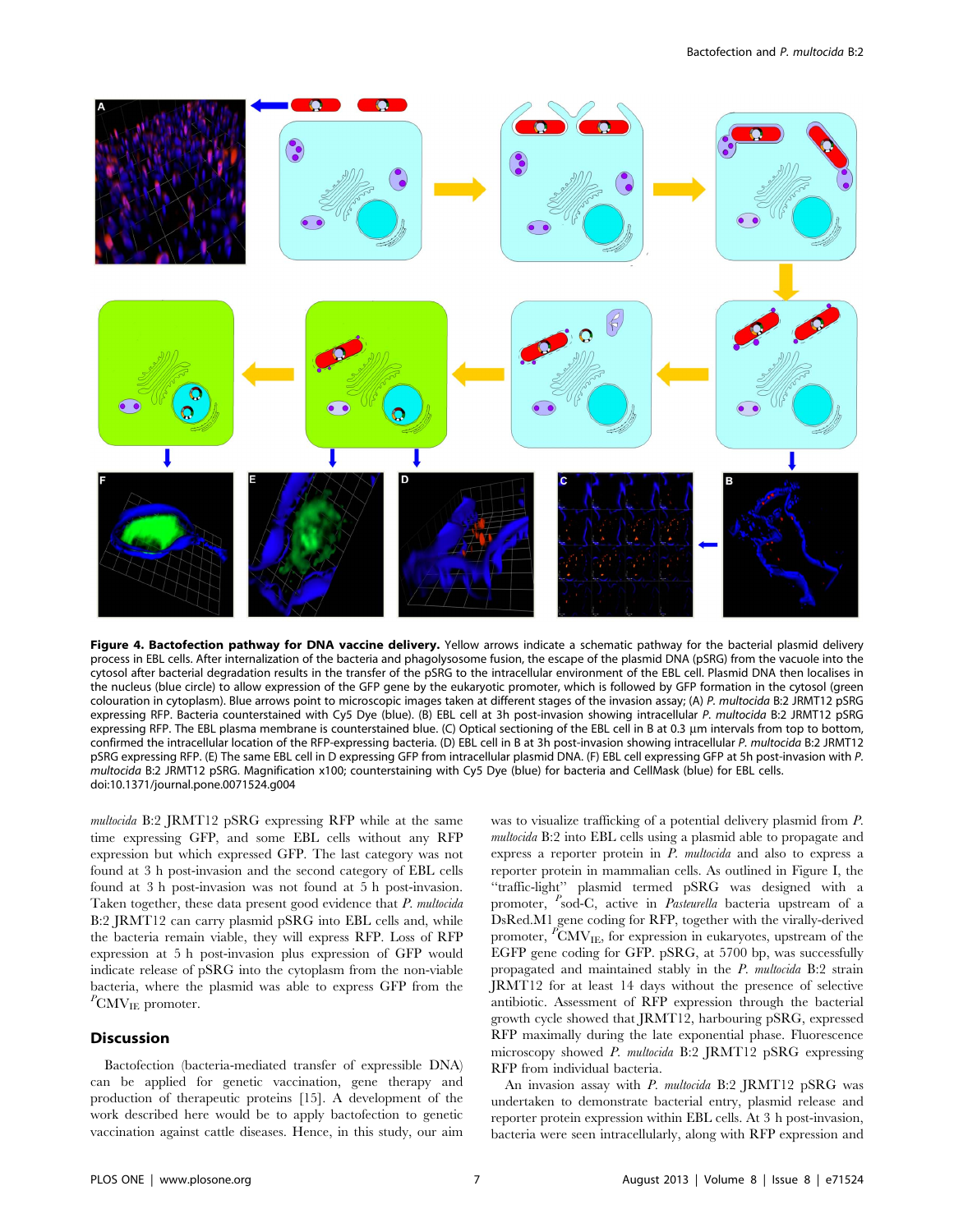

Figure 4. Bactofection pathway for DNA vaccine delivery. Yellow arrows indicate a schematic pathway for the bacterial plasmid delivery process in EBL cells. After internalization of the bacteria and phagolysosome fusion, the escape of the plasmid DNA (pSRG) from the vacuole into the cytosol after bacterial degradation results in the transfer of the pSRG to the intracellular environment of the EBL cell. Plasmid DNA then localises in the nucleus (blue circle) to allow expression of the GFP gene by the eukaryotic promoter, which is followed by GFP formation in the cytosol (green colouration in cytoplasm). Blue arrows point to microscopic images taken at different stages of the invasion assay; (A) P. multocida B:2 JRMT12 pSRG expressing RFP. Bacteria counterstained with Cy5 Dye (blue). (B) EBL cell at 3h post-invasion showing intracellular P. multocida B:2 JRMT12 pSRG expressing RFP. The EBL plasma membrane is counterstained blue. (C) Optical sectioning of the EBL cell in B at 0.3 µm intervals from top to bottom, confirmed the intracellular location of the RFP-expressing bacteria. (D) EBL cell in B at 3h post-invasion showing intracellular P. multocida B:2 JRMT12 pSRG expressing RFP. (E) The same EBL cell in D expressing GFP from intracellular plasmid DNA. (F) EBL cell expressing GFP at 5h post-invasion with P. multocida B:2 JRMT12 pSRG. Magnification x100; counterstaining with Cy5 Dye (blue) for bacteria and CellMask (blue) for EBL cells. doi:10.1371/journal.pone.0071524.g004

multocida B:2 JRMT12 pSRG expressing RFP while at the same time expressing GFP, and some EBL cells without any RFP expression but which expressed GFP. The last category was not found at 3 h post-invasion and the second category of EBL cells found at 3 h post-invasion was not found at 5 h post-invasion. Taken together, these data present good evidence that P. multocida B:2 JRMT12 can carry plasmid pSRG into EBL cells and, while the bacteria remain viable, they will express RFP. Loss of RFP expression at 5 h post-invasion plus expression of GFP would indicate release of pSRG into the cytoplasm from the non-viable bacteria, where the plasmid was able to express GFP from the  ${}^P\text{CMV}_{\text{IE}}$  promoter.

## Discussion

Bactofection (bacteria-mediated transfer of expressible DNA) can be applied for genetic vaccination, gene therapy and production of therapeutic proteins [15]. A development of the work described here would be to apply bactofection to genetic vaccination against cattle diseases. Hence, in this study, our aim was to visualize trafficking of a potential delivery plasmid from P. multocida B:2 into EBL cells using a plasmid able to propagate and express a reporter protein in P. multocida and also to express a reporter protein in mammalian cells. As outlined in Figure I, the ''traffic-light'' plasmid termed pSRG was designed with a promoter, <sup>P</sup>sod-C, active in *Pasteurella* bacteria upstream of a DsRed.M1 gene coding for RFP, together with the virally-derived promoter, <sup>P</sup>CMV<sub>IE</sub>, for expression in eukaryotes, upstream of the EGFP gene coding for GFP. pSRG, at 5700 bp, was successfully propagated and maintained stably in the P. multocida B:2 strain JRMT12 for at least 14 days without the presence of selective antibiotic. Assessment of RFP expression through the bacterial growth cycle showed that JRMT12, harbouring pSRG, expressed RFP maximally during the late exponential phase. Fluorescence microscopy showed P. multocida B:2 JRMT12 pSRG expressing RFP from individual bacteria.

An invasion assay with P. multocida B:2 JRMT12 pSRG was undertaken to demonstrate bacterial entry, plasmid release and reporter protein expression within EBL cells. At 3 h post-invasion, bacteria were seen intracellularly, along with RFP expression and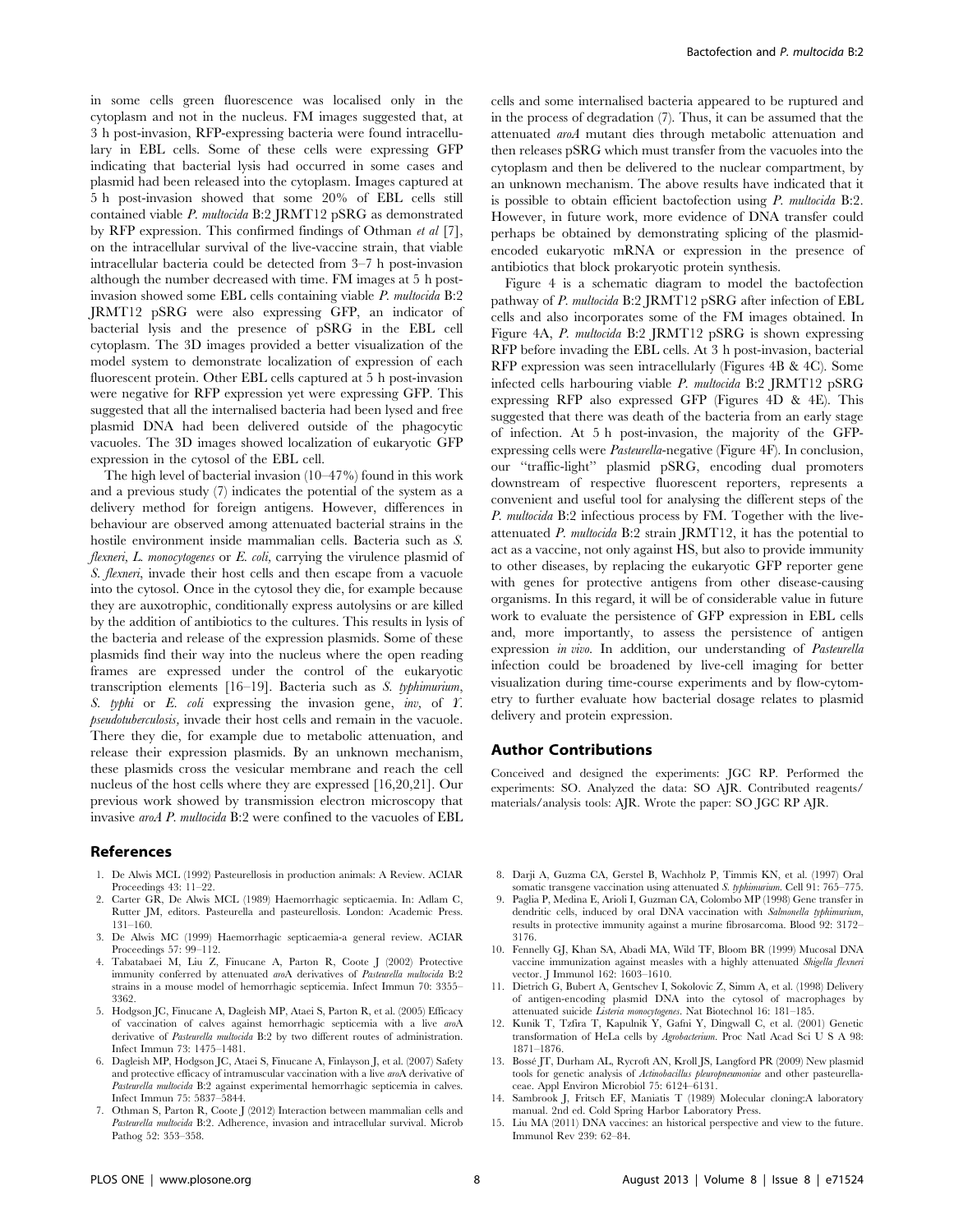in some cells green fluorescence was localised only in the cytoplasm and not in the nucleus. FM images suggested that, at 3 h post-invasion, RFP-expressing bacteria were found intracellulary in EBL cells. Some of these cells were expressing GFP indicating that bacterial lysis had occurred in some cases and plasmid had been released into the cytoplasm. Images captured at 5 h post-invasion showed that some 20% of EBL cells still contained viable P. multocida B:2 JRMT12 pSRG as demonstrated by RFP expression. This confirmed findings of Othman et al [7], on the intracellular survival of the live-vaccine strain, that viable intracellular bacteria could be detected from 3–7 h post-invasion although the number decreased with time. FM images at 5 h postinvasion showed some EBL cells containing viable P. multocida B:2 JRMT12 pSRG were also expressing GFP, an indicator of bacterial lysis and the presence of pSRG in the EBL cell cytoplasm. The 3D images provided a better visualization of the model system to demonstrate localization of expression of each fluorescent protein. Other EBL cells captured at 5 h post-invasion were negative for RFP expression yet were expressing GFP. This suggested that all the internalised bacteria had been lysed and free plasmid DNA had been delivered outside of the phagocytic vacuoles. The 3D images showed localization of eukaryotic GFP expression in the cytosol of the EBL cell.

The high level of bacterial invasion (10–47%) found in this work and a previous study (7) indicates the potential of the system as a delivery method for foreign antigens. However, differences in behaviour are observed among attenuated bacterial strains in the hostile environment inside mammalian cells. Bacteria such as S. flexneri,  $L$ . monocytogenes or  $E$ . coli, carrying the virulence plasmid of S. *flexneri*, invade their host cells and then escape from a vacuole into the cytosol. Once in the cytosol they die, for example because they are auxotrophic, conditionally express autolysins or are killed by the addition of antibiotics to the cultures. This results in lysis of the bacteria and release of the expression plasmids. Some of these plasmids find their way into the nucleus where the open reading frames are expressed under the control of the eukaryotic transcription elements [16–19]. Bacteria such as S. typhimurium, S. typhi or E. coli expressing the invasion gene, inv, of Y. pseudotuberculosis, invade their host cells and remain in the vacuole. There they die, for example due to metabolic attenuation, and release their expression plasmids. By an unknown mechanism, these plasmids cross the vesicular membrane and reach the cell nucleus of the host cells where they are expressed [16,20,21]. Our previous work showed by transmission electron microscopy that invasive aroA P. multocida B:2 were confined to the vacuoles of EBL

#### References

- 1. De Alwis MCL (1992) Pasteurellosis in production animals: A Review. ACIAR Proceedings 43: 11–22.
- 2. Carter GR, De Alwis MCL (1989) Haemorrhagic septicaemia. In: Adlam C, Rutter JM, editors. Pasteurella and pasteurellosis. London: Academic Press. 131–160.
- 3. De Alwis MC (1999) Haemorrhagic septicaemia-a general review. ACIAR Proceedings 57: 99–112.
- 4. Tabatabaei M, Liu Z, Finucane A, Parton R, Coote J (2002) Protective immunity conferred by attenuated *aro*A derivatives of *Pasteurella multocida* B:2 strains in a mouse model of hemorrhagic septicemia. Infect Immun 70: 3355– 3362.
- 5. Hodgson JC, Finucane A, Dagleish MP, Ataei S, Parton R, et al. (2005) Efficacy of vaccination of calves against hemorrhagic septicemia with a live aroA derivative of Pasteurella multocida B:2 by two different routes of administration. Infect Immun 73: 1475–1481.
- 6. Dagleish MP, Hodgson JC, Ataei S, Finucane A, Finlayson J, et al. (2007) Safety and protective efficacy of intramuscular vaccination with a live aroA derivative of Pasteurella multocida B:2 against experimental hemorrhagic septicemia in calves. Infect Immun 75: 5837–5844.
- 7. Othman S, Parton R, Coote J (2012) Interaction between mammalian cells and Pasteurella multocida B:2. Adherence, invasion and intracellular survival. Microb Pathog 52: 353–358.

cells and some internalised bacteria appeared to be ruptured and in the process of degradation (7). Thus, it can be assumed that the attenuated aroA mutant dies through metabolic attenuation and then releases pSRG which must transfer from the vacuoles into the cytoplasm and then be delivered to the nuclear compartment, by an unknown mechanism. The above results have indicated that it is possible to obtain efficient bactofection using P. multocida B:2. However, in future work, more evidence of DNA transfer could perhaps be obtained by demonstrating splicing of the plasmidencoded eukaryotic mRNA or expression in the presence of antibiotics that block prokaryotic protein synthesis.

Figure 4 is a schematic diagram to model the bactofection pathway of P. multocida B:2 JRMT12 pSRG after infection of EBL cells and also incorporates some of the FM images obtained. In Figure 4A, P. multocida B:2 JRMT12 pSRG is shown expressing RFP before invading the EBL cells. At 3 h post-invasion, bacterial RFP expression was seen intracellularly (Figures 4B & 4C). Some infected cells harbouring viable P. multocida B:2 JRMT12 pSRG expressing RFP also expressed GFP (Figures 4D & 4E). This suggested that there was death of the bacteria from an early stage of infection. At 5 h post-invasion, the majority of the GFPexpressing cells were Pasteurella-negative (Figure 4F). In conclusion, our ''traffic-light'' plasmid pSRG, encoding dual promoters downstream of respective fluorescent reporters, represents a convenient and useful tool for analysing the different steps of the P. multocida B:2 infectious process by FM. Together with the liveattenuated P. multocida B:2 strain JRMT12, it has the potential to act as a vaccine, not only against HS, but also to provide immunity to other diseases, by replacing the eukaryotic GFP reporter gene with genes for protective antigens from other disease-causing organisms. In this regard, it will be of considerable value in future work to evaluate the persistence of GFP expression in EBL cells and, more importantly, to assess the persistence of antigen expression in vivo. In addition, our understanding of Pasteurella infection could be broadened by live-cell imaging for better visualization during time-course experiments and by flow-cytometry to further evaluate how bacterial dosage relates to plasmid delivery and protein expression.

#### Author Contributions

Conceived and designed the experiments: JGC RP. Performed the experiments: SO. Analyzed the data: SO AJR. Contributed reagents/ materials/analysis tools: AJR. Wrote the paper: SO JGC RP AJR.

- 8. Darji A, Guzma CA, Gerstel B, Wachholz P, Timmis KN, et al. (1997) Oral somatic transgene vaccination using attenuated S. typhimurium. Cell 91: 765–775.
- 9. Paglia P, Medina E, Arioli I, Guzman CA, Colombo MP (1998) Gene transfer in dendritic cells, induced by oral DNA vaccination with Salmonella typhimurium, results in protective immunity against a murine fibrosarcoma. Blood 92: 3172– 3176.
- 10. Fennelly GJ, Khan SA, Abadi MA, Wild TF, Bloom BR (1999) Mucosal DNA vaccine immunization against measles with a highly attenuated Shigella flexneri vector. J Immunol 162: 1603–1610.
- 11. Dietrich G, Bubert A, Gentschev I, Sokolovic Z, Simm A, et al. (1998) Delivery of antigen-encoding plasmid DNA into the cytosol of macrophages by attenuated suicide Listeria monocytogenes. Nat Biotechnol 16: 181–185.
- 12. Kunik T, Tzfira T, Kapulnik Y, Gafni Y, Dingwall C, et al. (2001) Genetic transformation of HeLa cells by Agrobacterium. Proc Natl Acad Sci U S A 98: 1871–1876.
- 13. Bossé JT, Durham AL, Rycroft AN, Kroll JS, Langford PR (2009) New plasmid tools for genetic analysis of Actinobacillus pleuropneumoniae and other pasteurellaceae. Appl Environ Microbiol 75: 6124–6131.
- 14. Sambrook J, Fritsch EF, Maniatis T (1989) Molecular cloning:A laboratory manual. 2nd ed. Cold Spring Harbor Laboratory Press.
- 15. Liu MA (2011) DNA vaccines: an historical perspective and view to the future. Immunol Rev 239: 62–84.